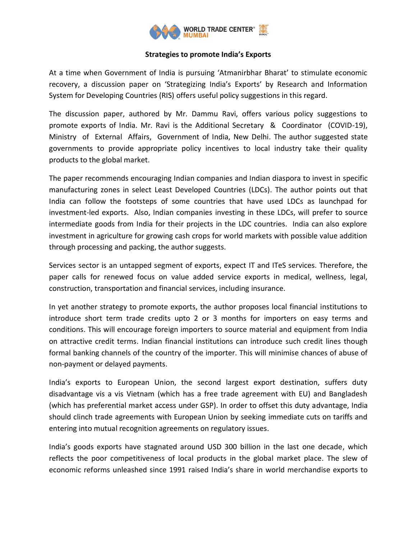

# **Strategies to promote India's Exports**

At a time when Government of India is pursuing 'Atmanirbhar Bharat' to stimulate economic recovery, a discussion paper on 'Strategizing India's Exports' by Research and Information System for Developing Countries (RIS) offers useful policy suggestions in this regard.

The discussion paper, authored by Mr. Dammu Ravi, offers various policy suggestions to promote exports of India. Mr. Ravi is the Additional Secretary & Coordinator (COVID-19), Ministry of External Affairs, Government of India, New Delhi. The author suggested state governments to provide appropriate policy incentives to local industry take their quality products to the global market.

The paper recommends encouraging Indian companies and Indian diaspora to invest in specific manufacturing zones in select Least Developed Countries (LDCs). The author points out that India can follow the footsteps of some countries that have used LDCs as launchpad for investment-led exports. Also, Indian companies investing in these LDCs, will prefer to source intermediate goods from India for their projects in the LDC countries. India can also explore investment in agriculture for growing cash crops for world markets with possible value addition through processing and packing, the author suggests.

Services sector is an untapped segment of exports, expect IT and ITeS services. Therefore, the paper calls for renewed focus on value added service exports in medical, wellness, legal, construction, transportation and financial services, including insurance.

In yet another strategy to promote exports, the author proposes local financial institutions to introduce short term trade credits upto 2 or 3 months for importers on easy terms and conditions. This will encourage foreign importers to source material and equipment from India on attractive credit terms. Indian financial institutions can introduce such credit lines though formal banking channels of the country of the importer. This will minimise chances of abuse of non-payment or delayed payments.

India's exports to European Union, the second largest export destination, suffers duty disadvantage vis a vis Vietnam (which has a free trade agreement with EU) and Bangladesh (which has preferential market access under GSP). In order to offset this duty advantage, India should clinch trade agreements with European Union by seeking immediate cuts on tariffs and entering into mutual recognition agreements on regulatory issues.

India's goods exports have stagnated around USD 300 billion in the last one decade, which reflects the poor competitiveness of local products in the global market place. The slew of economic reforms unleashed since 1991 raised India's share in world merchandise exports to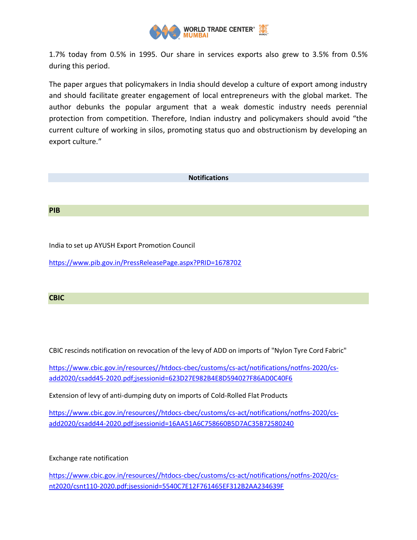

1.7% today from 0.5% in 1995. Our share in services exports also grew to 3.5% from 0.5% during this period.

The paper argues that policymakers in India should develop a culture of export among industry and should facilitate greater engagement of local entrepreneurs with the global market. The author debunks the popular argument that a weak domestic industry needs perennial protection from competition. Therefore, Indian industry and policymakers should avoid "the current culture of working in silos, promoting status quo and obstructionism by developing an export culture."

# **Notifications**

### **PIB**

India to set up AYUSH Export Promotion Council

<https://www.pib.gov.in/PressReleasePage.aspx?PRID=1678702>

#### **CBIC**

CBIC rescinds notification on revocation of the levy of ADD on imports of "Nylon Tyre Cord Fabric"

[https://www.cbic.gov.in/resources//htdocs-cbec/customs/cs-act/notifications/notfns-2020/cs](https://www.cbic.gov.in/resources/htdocs-cbec/customs/cs-act/notifications/notfns-2020/cs-add2020/csadd45-2020.pdf;jsessionid=623D27E982B4E8D594027F86AD0C40F6)[add2020/csadd45-2020.pdf;jsessionid=623D27E982B4E8D594027F86AD0C40F6](https://www.cbic.gov.in/resources/htdocs-cbec/customs/cs-act/notifications/notfns-2020/cs-add2020/csadd45-2020.pdf;jsessionid=623D27E982B4E8D594027F86AD0C40F6)

Extension of levy of anti-dumping duty on imports of Cold-Rolled Flat Products

[https://www.cbic.gov.in/resources//htdocs-cbec/customs/cs-act/notifications/notfns-2020/cs](https://www.cbic.gov.in/resources/htdocs-cbec/customs/cs-act/notifications/notfns-2020/cs-add2020/csadd44-2020.pdf;jsessionid=16AA51A6C758660B5D7AC35B72580240)[add2020/csadd44-2020.pdf;jsessionid=16AA51A6C758660B5D7AC35B72580240](https://www.cbic.gov.in/resources/htdocs-cbec/customs/cs-act/notifications/notfns-2020/cs-add2020/csadd44-2020.pdf;jsessionid=16AA51A6C758660B5D7AC35B72580240)

# Exchange rate notification

[https://www.cbic.gov.in/resources//htdocs-cbec/customs/cs-act/notifications/notfns-2020/cs](https://www.cbic.gov.in/resources/htdocs-cbec/customs/cs-act/notifications/notfns-2020/cs-nt2020/csnt110-2020.pdf;jsessionid=5540C7E12F761465EF312B2AA234639F)[nt2020/csnt110-2020.pdf;jsessionid=5540C7E12F761465EF312B2AA234639F](https://www.cbic.gov.in/resources/htdocs-cbec/customs/cs-act/notifications/notfns-2020/cs-nt2020/csnt110-2020.pdf;jsessionid=5540C7E12F761465EF312B2AA234639F)